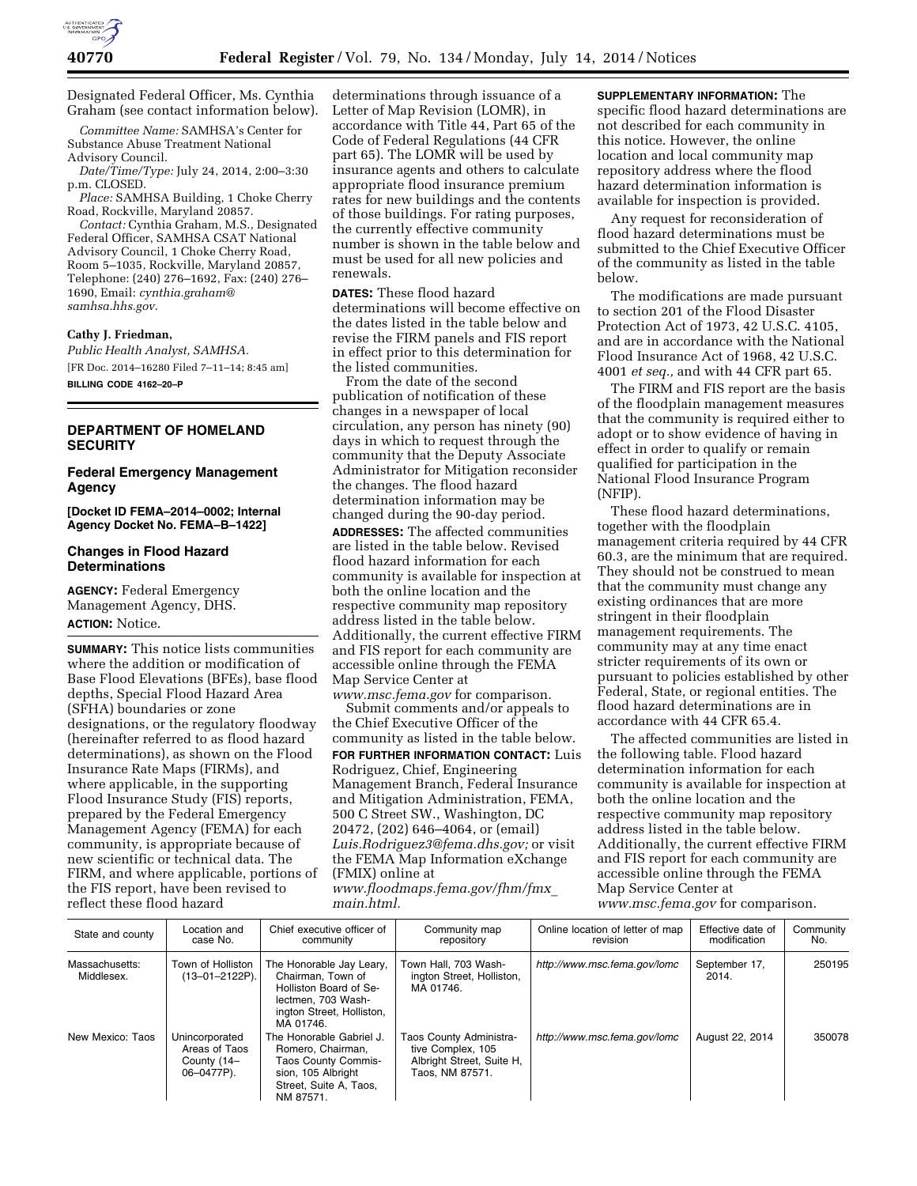

Designated Federal Officer, Ms. Cynthia Graham (see contact information below).

*Committee Name:* SAMHSA's Center for Substance Abuse Treatment National Advisory Council.

*Date/Time/Type:* July 24, 2014, 2:00–3:30 p.m. CLOSED.

*Place:* SAMHSA Building, 1 Choke Cherry Road, Rockville, Maryland 20857.

*Contact:* Cynthia Graham, M.S., Designated Federal Officer, SAMHSA CSAT National Advisory Council, 1 Choke Cherry Road, Room 5–1035, Rockville, Maryland 20857, Telephone: (240) 276–1692, Fax: (240) 276– 1690, Email: *[cynthia.graham@](mailto:cynthia.graham@samhsa.hhs.gov) [samhsa.hhs.gov](mailto:cynthia.graham@samhsa.hhs.gov)*.

#### **Cathy J. Friedman,**

*Public Health Analyst, SAMHSA.*  [FR Doc. 2014–16280 Filed 7–11–14; 8:45 am] **BILLING CODE 4162–20–P** 

#### **DEPARTMENT OF HOMELAND SECURITY**

### **Federal Emergency Management Agency**

**[Docket ID FEMA–2014–0002; Internal Agency Docket No. FEMA–B–1422]** 

#### **Changes in Flood Hazard Determinations**

**AGENCY:** Federal Emergency Management Agency, DHS. **ACTION:** Notice.

**SUMMARY:** This notice lists communities where the addition or modification of Base Flood Elevations (BFEs), base flood depths, Special Flood Hazard Area (SFHA) boundaries or zone designations, or the regulatory floodway (hereinafter referred to as flood hazard determinations), as shown on the Flood Insurance Rate Maps (FIRMs), and where applicable, in the supporting Flood Insurance Study (FIS) reports, prepared by the Federal Emergency Management Agency (FEMA) for each community, is appropriate because of new scientific or technical data. The FIRM, and where applicable, portions of the FIS report, have been revised to reflect these flood hazard

determinations through issuance of a Letter of Map Revision (LOMR), in accordance with Title 44, Part 65 of the Code of Federal Regulations (44 CFR part 65). The LOMR will be used by insurance agents and others to calculate appropriate flood insurance premium rates for new buildings and the contents of those buildings. For rating purposes, the currently effective community number is shown in the table below and must be used for all new policies and renewals.

**DATES:** These flood hazard determinations will become effective on the dates listed in the table below and revise the FIRM panels and FIS report in effect prior to this determination for the listed communities.

From the date of the second publication of notification of these changes in a newspaper of local circulation, any person has ninety (90) days in which to request through the community that the Deputy Associate Administrator for Mitigation reconsider the changes. The flood hazard determination information may be changed during the 90-day period.

**ADDRESSES:** The affected communities are listed in the table below. Revised flood hazard information for each community is available for inspection at both the online location and the respective community map repository address listed in the table below. Additionally, the current effective FIRM and FIS report for each community are accessible online through the FEMA Map Service Center at

*[www.msc.fema.gov](http://www.msc.fema.gov)* for comparison. Submit comments and/or appeals to the Chief Executive Officer of the community as listed in the table below. **FOR FURTHER INFORMATION CONTACT:** Luis Rodriguez, Chief, Engineering Management Branch, Federal Insurance and Mitigation Administration, FEMA, 500 C Street SW., Washington, DC 20472, (202) 646–4064, or (email) *[Luis.Rodriguez3@fema.dhs.gov;](mailto:Luis.Rodriguez3@fema.dhs.gov)* or visit the FEMA Map Information eXchange (FMIX) online at *[www.floodmaps.fema.gov/fhm/fmx](http://www.floodmaps.fema.gov/fhm/fmx_main.html)*\_ *[main.html.](http://www.floodmaps.fema.gov/fhm/fmx_main.html)* 

**SUPPLEMENTARY INFORMATION:** The specific flood hazard determinations are not described for each community in this notice. However, the online location and local community map repository address where the flood hazard determination information is available for inspection is provided.

Any request for reconsideration of flood hazard determinations must be submitted to the Chief Executive Officer of the community as listed in the table below.

The modifications are made pursuant to section 201 of the Flood Disaster Protection Act of 1973, 42 U.S.C. 4105, and are in accordance with the National Flood Insurance Act of 1968, 42 U.S.C. 4001 *et seq.,* and with 44 CFR part 65.

The FIRM and FIS report are the basis of the floodplain management measures that the community is required either to adopt or to show evidence of having in effect in order to qualify or remain qualified for participation in the National Flood Insurance Program (NFIP).

These flood hazard determinations, together with the floodplain management criteria required by 44 CFR 60.3, are the minimum that are required. They should not be construed to mean that the community must change any existing ordinances that are more stringent in their floodplain management requirements. The community may at any time enact stricter requirements of its own or pursuant to policies established by other Federal, State, or regional entities. The flood hazard determinations are in accordance with 44 CFR 65.4.

The affected communities are listed in the following table. Flood hazard determination information for each community is available for inspection at both the online location and the respective community map repository address listed in the table below. Additionally, the current effective FIRM and FIS report for each community are accessible online through the FEMA Map Service Center at

*[www.msc.fema.gov](http://www.msc.fema.gov)* for comparison.

| State and county             | Location and<br>case No.                                     | Chief executive officer of<br>community                                                                                                  | Community map<br>repository                                                                  | Online location of letter of map<br>revision | Effective date of<br>modification | Community<br>No. |
|------------------------------|--------------------------------------------------------------|------------------------------------------------------------------------------------------------------------------------------------------|----------------------------------------------------------------------------------------------|----------------------------------------------|-----------------------------------|------------------|
| Massachusetts:<br>Middlesex. | Town of Holliston<br>$(13 - 01 - 2122P)$ .                   | The Honorable Jay Leary,<br>Chairman. Town of<br>Holliston Board of Se-<br>lectmen. 703 Wash-<br>ington Street, Holliston,<br>MA 01746.  | Town Hall, 703 Wash-<br>ington Street, Holliston,<br>MA 01746.                               | http://www.msc.fema.gov/lomc                 | September 17,<br>2014.            | 250195           |
| New Mexico: Taos             | Unincorporated<br>Areas of Taos<br>County (14–<br>06-0477P). | The Honorable Gabriel J.<br>Romero, Chairman,<br><b>Taos County Commis-</b><br>sion. 105 Albright<br>Street, Suite A, Taos,<br>NM 87571. | Taos County Administra-<br>tive Complex, 105<br>Albright Street, Suite H,<br>Taos, NM 87571. | http://www.msc.fema.gov/lomc                 | August 22, 2014                   | 350078           |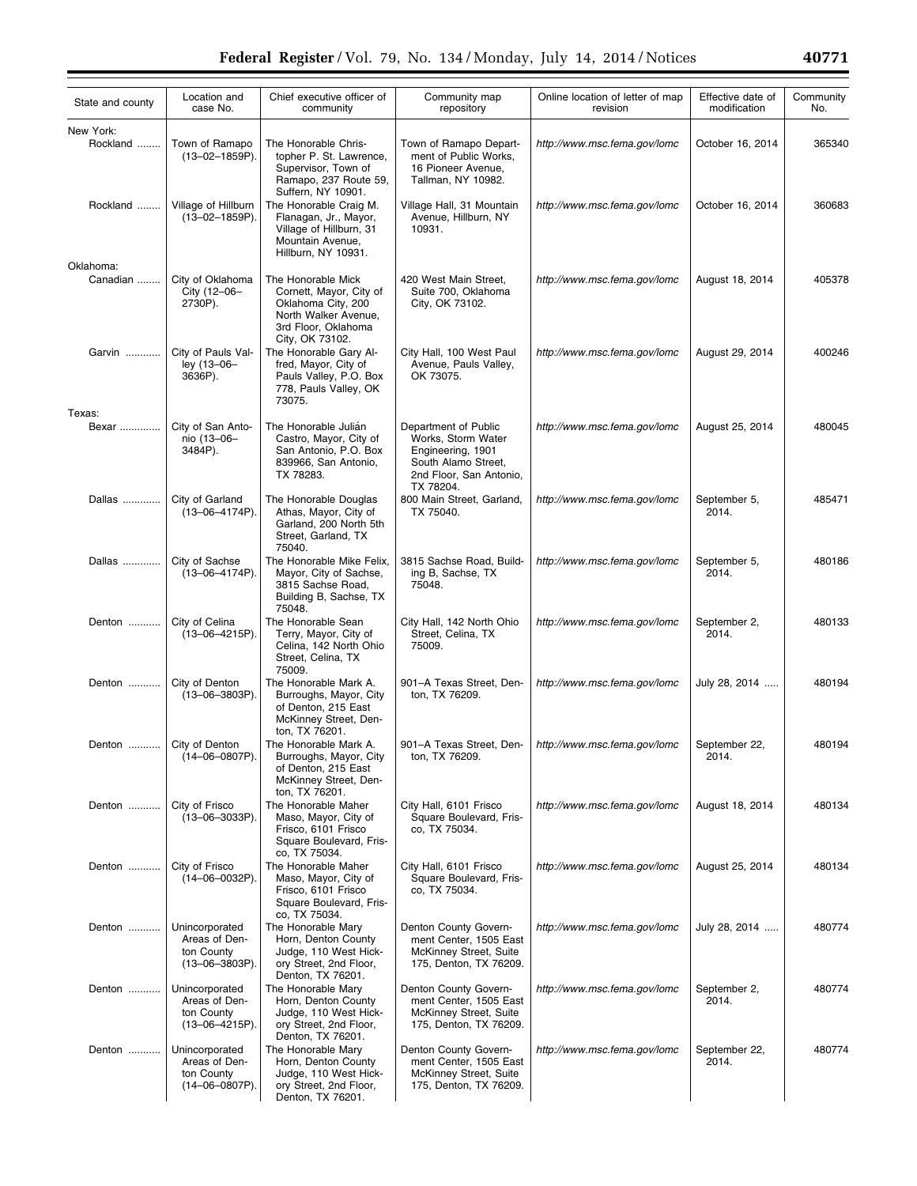| State and county         | Location and<br>case No.                                        | Chief executive officer of<br>community                                                                                        | Community map<br>repository                                                                                                    | Online location of letter of map<br>revision            | Effective date of<br>modification | Community<br>No. |
|--------------------------|-----------------------------------------------------------------|--------------------------------------------------------------------------------------------------------------------------------|--------------------------------------------------------------------------------------------------------------------------------|---------------------------------------------------------|-----------------------------------|------------------|
| New York:<br>Rockland    | Town of Ramapo<br>(13-02-1859P).                                | The Honorable Chris-<br>topher P. St. Lawrence,<br>Supervisor, Town of<br>Ramapo, 237 Route 59,<br>Suffern, NY 10901.          | Town of Ramapo Depart-<br>ment of Public Works,<br>16 Pioneer Avenue,<br>Tallman, NY 10982.                                    | http://www.msc.fema.gov/lomc                            | October 16, 2014                  | 365340           |
| Rockland                 | Village of Hillburn<br>$(13 - 02 - 1859P)$ .                    | The Honorable Craig M.<br>Flanagan, Jr., Mayor,<br>Village of Hillburn, 31<br>Mountain Avenue,<br>Hillburn, NY 10931.          | Village Hall, 31 Mountain<br>Avenue, Hillburn, NY<br>10931.                                                                    | http://www.msc.fema.gov/lomc                            | October 16, 2014                  | 360683           |
| Oklahoma:<br>Canadian    | City of Oklahoma<br>City (12-06-<br>2730P).                     | The Honorable Mick<br>Cornett, Mayor, City of<br>Oklahoma City, 200<br>North Walker Avenue,<br>3rd Floor, Oklahoma             | 420 West Main Street,<br>Suite 700, Oklahoma<br>City, OK 73102.                                                                | http://www.msc.fema.gov/lomc                            | August 18, 2014                   | 405378           |
| Garvin                   | City of Pauls Val-<br>ley (13-06-<br>3636P).                    | City, OK 73102.<br>The Honorable Gary Al-<br>fred, Mayor, City of<br>Pauls Valley, P.O. Box<br>778, Pauls Valley, OK<br>73075. | City Hall, 100 West Paul<br>Avenue, Pauls Valley,<br>OK 73075.                                                                 | http://www.msc.fema.gov/lomc                            | August 29, 2014                   | 400246           |
| Texas:<br>Bexar          | City of San Anto-<br>nio (13-06-<br>3484P).                     | The Honorable Julian<br>Castro, Mayor, City of<br>San Antonio, P.O. Box<br>839966, San Antonio,<br>TX 78283.                   | Department of Public<br>Works, Storm Water<br>Engineering, 1901<br>South Alamo Street,<br>2nd Floor, San Antonio,<br>TX 78204. | http://www.msc.fema.gov/lomc                            | August 25, 2014                   | 480045           |
| Dallas                   | City of Garland<br>$(13 - 06 - 4174P)$ .                        | The Honorable Douglas<br>Athas, Mayor, City of<br>Garland, 200 North 5th<br>Street, Garland, TX<br>75040.                      | 800 Main Street, Garland,<br>TX 75040.                                                                                         | http://www.msc.fema.gov/lomc                            | September 5,<br>2014.             | 485471           |
| Dallas                   | City of Sachse<br>$(13 - 06 - 4174P)$ .                         | The Honorable Mike Felix,<br>Mayor, City of Sachse,<br>3815 Sachse Road,<br>Building B, Sachse, TX<br>75048.                   | 3815 Sachse Road, Build-<br>ing B, Sachse, TX<br>75048.                                                                        | http://www.msc.fema.gov/lomc                            | September 5,<br>2014.             | 480186           |
| Denton                   | City of Celina<br>$(13 - 06 - 4215P)$ .                         | The Honorable Sean<br>Terry, Mayor, City of<br>Celina, 142 North Ohio<br>Street, Celina, TX<br>75009.                          | City Hall, 142 North Ohio<br>Street, Celina, TX<br>75009.                                                                      | http://www.msc.fema.gov/lomc                            | September 2,<br>2014.             | 480133           |
| Denton                   | City of Denton<br>$(13 - 06 - 3803P)$ .                         | The Honorable Mark A.<br>Burroughs, Mayor, City<br>of Denton, 215 East<br>McKinney Street, Den-<br>ton, TX 76201.              | 901-A Texas Street, Den-<br>ton, TX 76209.                                                                                     | http://www.msc.fema.gov/lomc                            | July 28, 2014                     | 480194           |
| Denton    City of Denton | (14–06–0807P).                                                  | The Honorable Mark A.<br>Burroughs, Mayor, City<br>of Denton, 215 East<br>McKinney Street, Den-<br>ton, TX 76201.              | ton, TX 76209.                                                                                                                 | 901-A Texas Street, Den-   http://www.msc.fema.gov/lomc | September 22,<br>2014.            | 480194           |
| Denton                   | City of Frisco<br>$(13 - 06 - 3033P)$ .                         | The Honorable Maher<br>Maso, Mayor, City of<br>Frisco, 6101 Frisco<br>Square Boulevard, Fris-<br>co, TX 75034.                 | City Hall, 6101 Frisco<br>Square Boulevard, Fris-<br>co, TX 75034.                                                             | http://www.msc.fema.gov/lomc                            | August 18, 2014                   | 480134           |
| Denton                   | City of Frisco<br>(14-06-0032P).                                | The Honorable Maher<br>Maso, Mayor, City of<br>Frisco, 6101 Frisco<br>Square Boulevard, Fris-<br>co, TX 75034.                 | City Hall, 6101 Frisco<br>Square Boulevard, Fris-<br>co, TX 75034.                                                             | http://www.msc.fema.gov/lomc                            | August 25, 2014                   | 480134           |
| Denton                   | Unincorporated<br>Areas of Den-<br>ton County<br>(13-06-3803P). | The Honorable Mary<br>Horn, Denton County<br>Judge, 110 West Hick-<br>ory Street, 2nd Floor,<br>Denton, TX 76201.              | Denton County Govern-<br>ment Center, 1505 East<br>McKinney Street, Suite<br>175, Denton, TX 76209.                            | http://www.msc.fema.gov/lomc                            | July 28, 2014                     | 480774           |
| Denton                   | Unincorporated<br>Areas of Den-<br>ton County<br>(13-06-4215P). | The Honorable Mary<br>Horn, Denton County<br>Judge, 110 West Hick-<br>ory Street, 2nd Floor,<br>Denton, TX 76201.              | Denton County Govern-<br>ment Center, 1505 East<br>McKinney Street, Suite<br>175, Denton, TX 76209.                            | http://www.msc.fema.gov/lomc                            | September 2,<br>2014.             | 480774           |
| Denton                   | Unincorporated<br>Areas of Den-<br>ton County<br>(14-06-0807P). | The Honorable Mary<br>Horn, Denton County<br>Judge, 110 West Hick-<br>ory Street, 2nd Floor,<br>Denton, TX 76201.              | Denton County Govern-<br>ment Center, 1505 East<br>McKinney Street, Suite<br>175, Denton, TX 76209.                            | http://www.msc.fema.gov/lomc                            | September 22,<br>2014.            | 480774           |